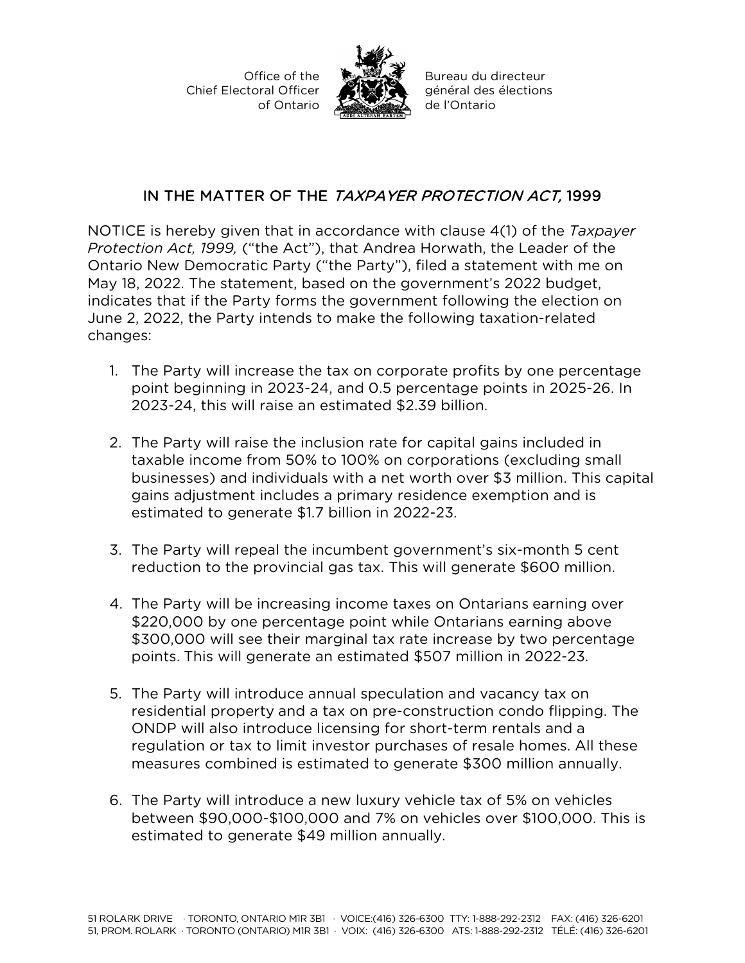Office of the Chief Electoral Officer of Ontario



Bureau du directeur général des élections de l'Ontario

## IN THE MATTER OF THE TAXPAYER PROTECTION ACT, 1999

NOTICE is hereby given that in accordance with clause 4(1) of the *Taxpayer Protection Act, 1999,* ("the Act"), that Andrea Horwath, the Leader of the Ontario New Democratic Party ("the Party"), filed a statement with me on May 18, 2022. The statement, based on the government's 2022 budget, indicates that if the Party forms the government following the election on June 2, 2022, the Party intends to make the following taxation-related changes:

- 1. The Party will increase the tax on corporate profits by one percentage point beginning in 2023-24, and 0.5 percentage points in 2025-26. In 2023-24, this will raise an estimated \$2.39 billion.
- 2. The Party will raise the inclusion rate for capital gains included in taxable income from 50% to 100% on corporations (excluding small businesses) and individuals with a net worth over \$3 million. This capital gains adjustment includes a primary residence exemption and is estimated to generate \$1.7 billion in 2022-23.
- 3. The Party will repeal the incumbent government's six-month 5 cent reduction to the provincial gas tax. This will generate \$600 million.
- 4. The Party will be increasing income taxes on Ontarians earning over \$220,000 by one percentage point while Ontarians earning above \$300,000 will see their marginal tax rate increase by two percentage points. This will generate an estimated \$507 million in 2022-23.
- 5. The Party will introduce annual speculation and vacancy tax on residential property and a tax on pre-construction condo flipping. The ONDP will also introduce licensing for short-term rentals and a regulation or tax to limit investor purchases of resale homes. All these measures combined is estimated to generate \$300 million annually.
- 6. The Party will introduce a new luxury vehicle tax of 5% on vehicles between \$90,000-\$100,000 and 7% on vehicles over \$100,000. This is estimated to generate \$49 million annually.